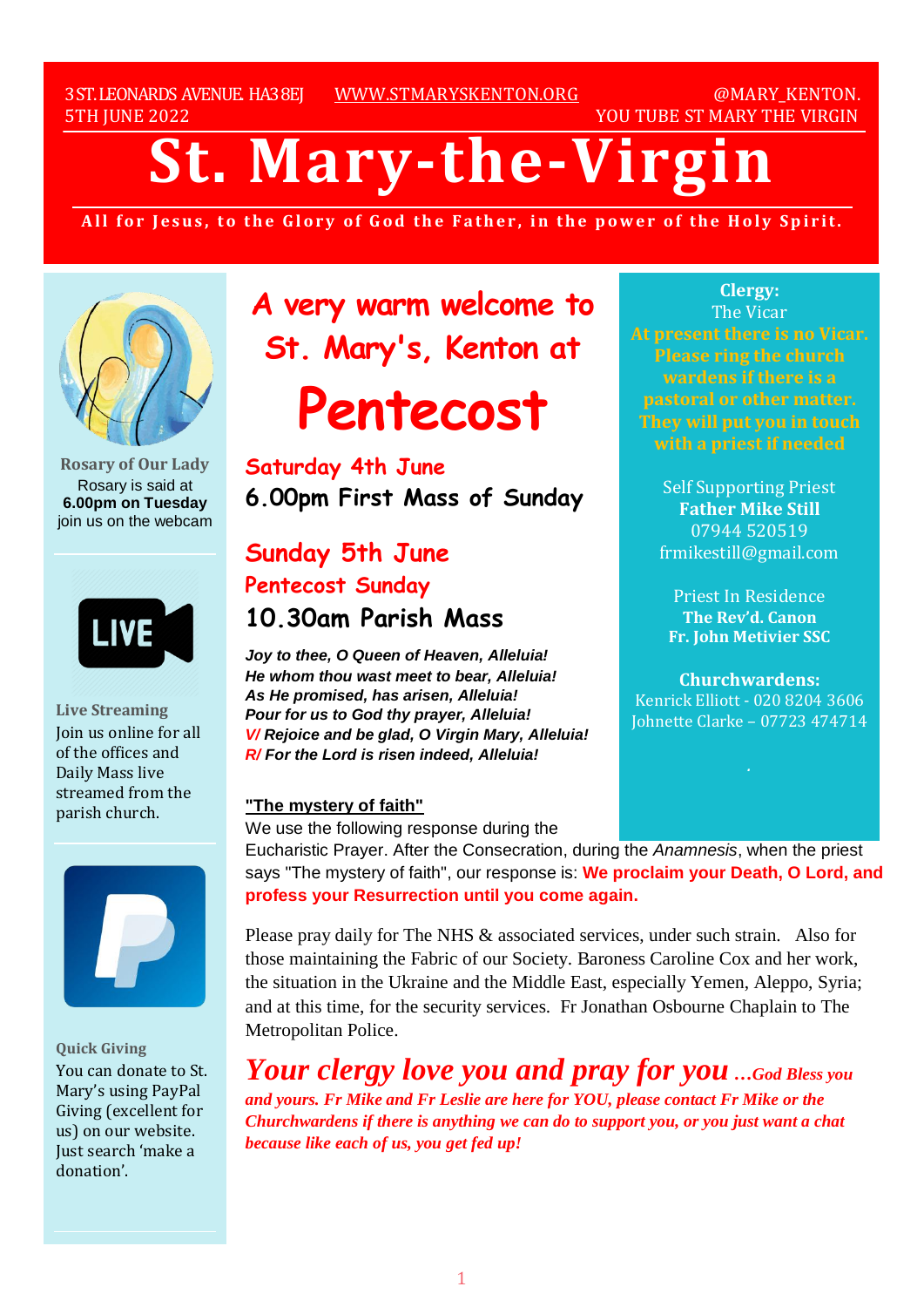3ST.LEONARDS AVENUE. HA38EI [WWW.STMARYSKENTON.ORG](http://www.stmaryskenton.org/) @MARY\_KENTON. 5TH JUNE 2022 YOU TUBE ST MARY THE VIRGIN

# **St. Mary-the-Virgi**

All for Jesus, to the Glory of God the Father, in the power of the Holy Spirit.



**Rosary of Our Lady** Rosary is said at **6.00pm on Tuesday** join us on the webcam



**Live Streaming** Join us online for all of the offices and Daily Mass live streamed from the parish church.



**Quick Giving** You can donate to St. Mary's using PayPal Giving (excellent for us) on our website. Just search 'make a donation'.

**A very warm welcome to St. Mary's, Kenton at**

# **Pentecost**

**Saturday 4th June 6.00pm First Mass of Sunday**

# **Sunday 5th June Pentecost Sunday 10.30am Parish Mass**

*Joy to thee, O Queen of Heaven, Alleluia! He whom thou wast meet to bear, Alleluia! As He promised, has arisen, Alleluia! Pour for us to God thy prayer, Alleluia! V/ Rejoice and be glad, O Virgin Mary, Alleluia! R/ For the Lord is risen indeed, Alleluia!*

## **"The mystery of faith"**

We use the following response during the

Eucharistic Prayer. After the Consecration, during the *Anamnesis*, when the priest says "The mystery of faith", our response is: **We proclaim your Death, O Lord, and profess your Resurrection until you come again.** 

Please pray daily for The NHS & associated services, under such strain. Also for those maintaining the Fabric of our Society. Baroness Caroline Cox and her work, the situation in the Ukraine and the Middle East, especially Yemen, Aleppo, Syria; and at this time, for the security services. Fr Jonathan Osbourne Chaplain to The Metropolitan Police.

*Your clergy love you and pray for you …God Bless you and yours. Fr Mike and Fr Leslie are here for YOU, please contact Fr Mike or the Churchwardens if there is anything we can do to support you, or you just want a chat because like each of us, you get fed up!*

**Clergy:** The Vicar **At present there is no Vicar. Please ring the church wardens if there is a pastoral or other matter. They will put you in touch**

> Self Supporting Priest **Father Mike Still** 07944 520519 frmikestill@gmail.com

Priest In Residence **The Rev'd. Canon Fr. John Metivier SSC**

**Churchwardens:** Kenrick Elliott - 020 8204 3606 Johnette Clarke – 07723 474714